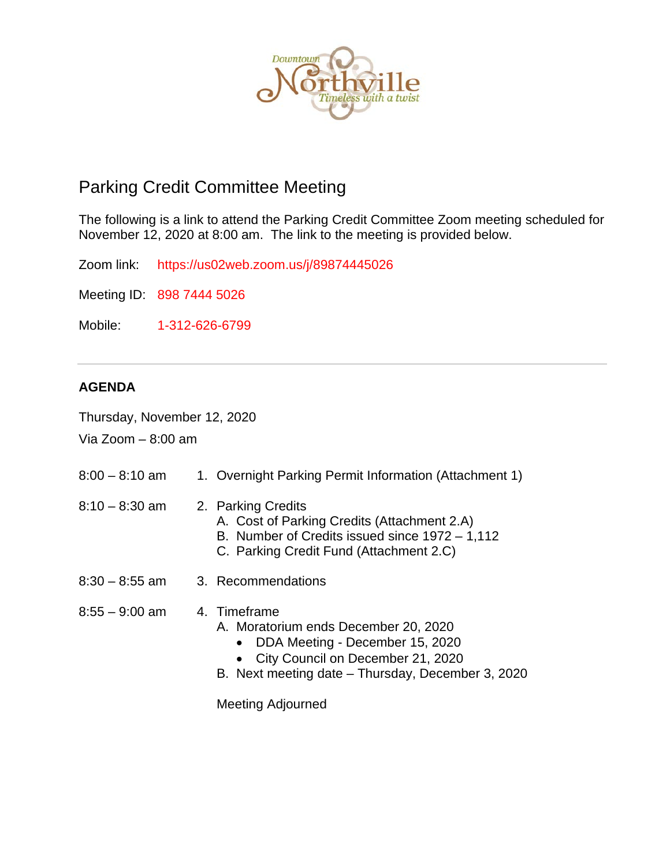

# Parking Credit Committee Meeting

The following is a link to attend the Parking Credit Committee Zoom meeting scheduled for November 12, 2020 at 8:00 am. The link to the meeting is provided below.

Zoom link: https://us02web.zoom.us/j/89874445026

Meeting ID: 898 7444 5026

Mobile: 1-312-626-6799

### **AGENDA**

Thursday, November 12, 2020

Via Zoom – 8:00 am

| $8:00 - 8:10$ am |  | Overnight Parking Permit Information (Attachment 1) |  |  |  |  |
|------------------|--|-----------------------------------------------------|--|--|--|--|
|------------------|--|-----------------------------------------------------|--|--|--|--|

- 8:10 8:30 am 2. Parking Credits
	- A. Cost of Parking Credits (Attachment 2.A)
	- B. Number of Credits issued since 1972 1,112
	- C. Parking Credit Fund (Attachment 2.C)
- 8:30 8:55 am 3. Recommendations
- $8:55 9:00$  am  $4.$  Timeframe
	- A. Moratorium ends December 20, 2020
		- DDA Meeting December 15, 2020
		- City Council on December 21, 2020
	- B. Next meeting date Thursday, December 3, 2020

Meeting Adjourned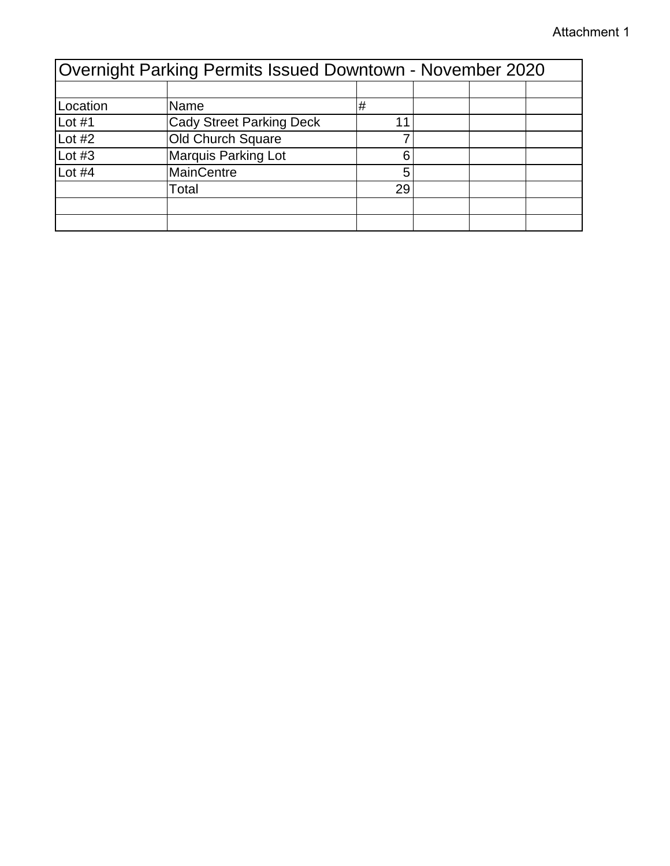| Overnight Parking Permits Issued Downtown - November 2020 |                                 |    |  |  |  |  |  |  |
|-----------------------------------------------------------|---------------------------------|----|--|--|--|--|--|--|
|                                                           |                                 |    |  |  |  |  |  |  |
| Location                                                  | Name                            | #  |  |  |  |  |  |  |
| Lot $#1$                                                  | <b>Cady Street Parking Deck</b> |    |  |  |  |  |  |  |
| Lot #2                                                    | <b>Old Church Square</b>        |    |  |  |  |  |  |  |
| Lot #3                                                    | <b>Marquis Parking Lot</b>      | 6  |  |  |  |  |  |  |
| Lot #4                                                    | <b>MainCentre</b>               | 5  |  |  |  |  |  |  |
|                                                           | Total                           | 29 |  |  |  |  |  |  |
|                                                           |                                 |    |  |  |  |  |  |  |
|                                                           |                                 |    |  |  |  |  |  |  |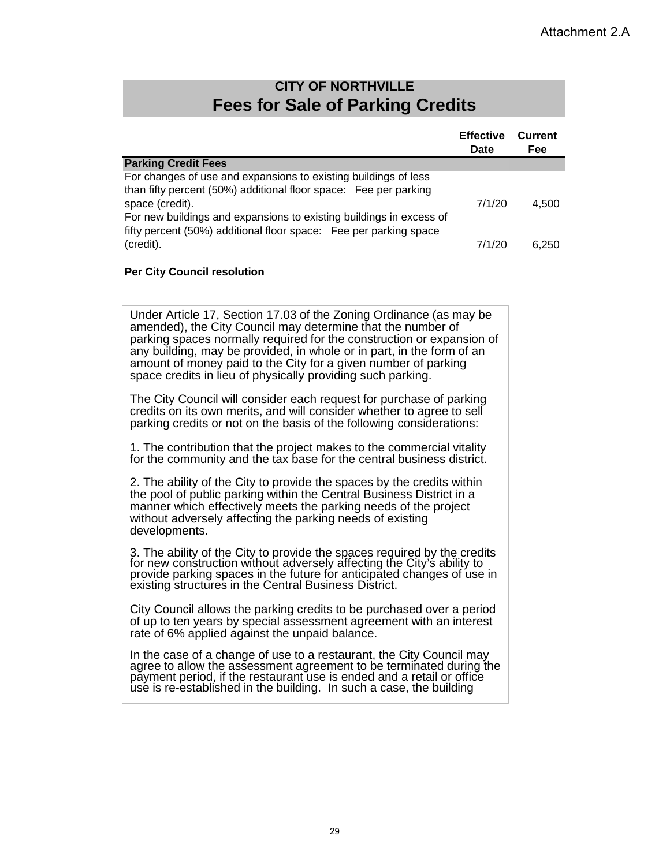## **CITY OF NORTHVILLE Fees for Sale of Parking Credits**

| <b>Fees for Sale of Parking Credits</b><br><b>Effective</b><br><b>Current</b><br>Fee<br><b>Date</b><br><b>Parking Credit Fees</b><br>For changes of use and expansions to existing buildings of less<br>than fifty percent (50%) additional floor space: Fee per parking<br>space (credit).<br>7/1/20<br>4,500<br>For new buildings and expansions to existing buildings in excess of<br>fifty percent (50%) additional floor space: Fee per parking space<br>(credit).<br>7/1/20<br>6,250<br><b>Per City Council resolution</b><br>Under Article 17, Section 17.03 of the Zoning Ordinance (as may be<br>amended), the City Council may determine that the number of<br>parking spaces normally required for the construction or expansion of<br>any building, may be provided, in whole or in part, in the form of an<br>amount of money paid to the City for a given number of parking<br>space credits in lieu of physically providing such parking.<br>The City Council will consider each request for purchase of parking<br>credits on its own merits, and will consider whether to agree to sell<br>parking credits or not on the basis of the following considerations:<br>1. The contribution that the project makes to the commercial vitality<br>for the community and the tax base for the central business district.<br>2. The ability of the City to provide the spaces by the credits within<br>the pool of public parking within the Central Business District in a<br>manner which effectively meets the parking needs of the project<br>without adversely affecting the parking needs of existing<br>developments.<br>3. The ability of the City to provide the spaces required by the credits<br>for new construction without adversely affecting the City's ability to<br>provide parking spaces in the future for anticipated changes of use in<br>existing structures in the Central Business District.<br>City Council allows the parking credits to be purchased over a period<br>of up to ten years by special assessment agreement with an interest<br>rate of 6% applied against the unpaid balance.<br>In the case of a change of use to a restaurant, the City Council may<br>agree to allow the assessment agreement to be terminated during the<br>payment period, if the restaurant use is ended and a retail or office | use is re-established in the building. In such a case, the building | <b>CITY OF NORTHVILLE</b> |  |
|----------------------------------------------------------------------------------------------------------------------------------------------------------------------------------------------------------------------------------------------------------------------------------------------------------------------------------------------------------------------------------------------------------------------------------------------------------------------------------------------------------------------------------------------------------------------------------------------------------------------------------------------------------------------------------------------------------------------------------------------------------------------------------------------------------------------------------------------------------------------------------------------------------------------------------------------------------------------------------------------------------------------------------------------------------------------------------------------------------------------------------------------------------------------------------------------------------------------------------------------------------------------------------------------------------------------------------------------------------------------------------------------------------------------------------------------------------------------------------------------------------------------------------------------------------------------------------------------------------------------------------------------------------------------------------------------------------------------------------------------------------------------------------------------------------------------------------------------------------------------------------------------------------------------------------------------------------------------------------------------------------------------------------------------------------------------------------------------------------------------------------------------------------------------------------------------------------------------------------------------------------------------------------------------------------------------------------------------------------|---------------------------------------------------------------------|---------------------------|--|
|                                                                                                                                                                                                                                                                                                                                                                                                                                                                                                                                                                                                                                                                                                                                                                                                                                                                                                                                                                                                                                                                                                                                                                                                                                                                                                                                                                                                                                                                                                                                                                                                                                                                                                                                                                                                                                                                                                                                                                                                                                                                                                                                                                                                                                                                                                                                                          |                                                                     |                           |  |
|                                                                                                                                                                                                                                                                                                                                                                                                                                                                                                                                                                                                                                                                                                                                                                                                                                                                                                                                                                                                                                                                                                                                                                                                                                                                                                                                                                                                                                                                                                                                                                                                                                                                                                                                                                                                                                                                                                                                                                                                                                                                                                                                                                                                                                                                                                                                                          |                                                                     |                           |  |
|                                                                                                                                                                                                                                                                                                                                                                                                                                                                                                                                                                                                                                                                                                                                                                                                                                                                                                                                                                                                                                                                                                                                                                                                                                                                                                                                                                                                                                                                                                                                                                                                                                                                                                                                                                                                                                                                                                                                                                                                                                                                                                                                                                                                                                                                                                                                                          |                                                                     |                           |  |
|                                                                                                                                                                                                                                                                                                                                                                                                                                                                                                                                                                                                                                                                                                                                                                                                                                                                                                                                                                                                                                                                                                                                                                                                                                                                                                                                                                                                                                                                                                                                                                                                                                                                                                                                                                                                                                                                                                                                                                                                                                                                                                                                                                                                                                                                                                                                                          |                                                                     |                           |  |
|                                                                                                                                                                                                                                                                                                                                                                                                                                                                                                                                                                                                                                                                                                                                                                                                                                                                                                                                                                                                                                                                                                                                                                                                                                                                                                                                                                                                                                                                                                                                                                                                                                                                                                                                                                                                                                                                                                                                                                                                                                                                                                                                                                                                                                                                                                                                                          |                                                                     |                           |  |
|                                                                                                                                                                                                                                                                                                                                                                                                                                                                                                                                                                                                                                                                                                                                                                                                                                                                                                                                                                                                                                                                                                                                                                                                                                                                                                                                                                                                                                                                                                                                                                                                                                                                                                                                                                                                                                                                                                                                                                                                                                                                                                                                                                                                                                                                                                                                                          |                                                                     |                           |  |
|                                                                                                                                                                                                                                                                                                                                                                                                                                                                                                                                                                                                                                                                                                                                                                                                                                                                                                                                                                                                                                                                                                                                                                                                                                                                                                                                                                                                                                                                                                                                                                                                                                                                                                                                                                                                                                                                                                                                                                                                                                                                                                                                                                                                                                                                                                                                                          | 29                                                                  |                           |  |

#### **Per City Council resolution**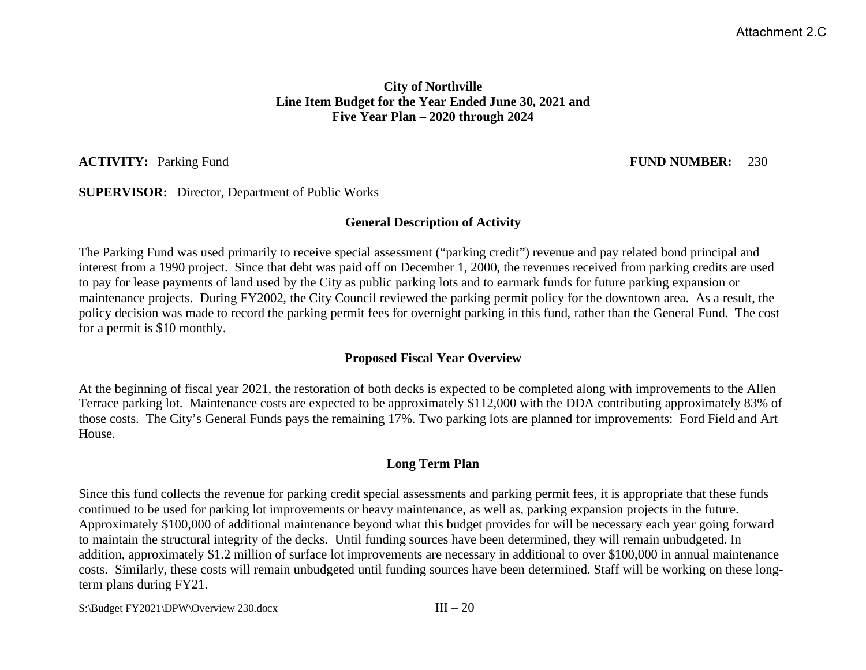### **City of Northville Line Item Budget for the Year Ended June 30, 2021 and Five Year Plan – 2020 through 2024**

**ACTIVITY:** Parking Fund **FUND NUMBER:** 230

**SUPERVISOR:** Director, Department of Public Works

### **General Description of Activity**

The Parking Fund was used primarily to receive special assessment ("parking credit") revenue and pay related bond principal and interest from a 1990 project. Since that debt was paid off on December 1, 2000, the revenues received from parking credits are used to pay for lease payments of land used by the City as public parking lots and to earmark funds for future parking expansion or maintenance projects. During FY2002, the City Council reviewed the parking permit policy for the downtown area. As a result, the policy decision was made to record the parking permit fees for overnight parking in this fund, rather than the General Fund. The cost for a permit is \$10 monthly.

### **Proposed Fiscal Year Overview**

At the beginning of fiscal year 2021, the restoration of both decks is expected to be completed along with improvements to the Allen Terrace parking lot. Maintenance costs are expected to be approximately \$112,000 with the DDA contributing approximately 83% of those costs. The City's General Funds pays the remaining 17%. Two parking lots are planned for improvements: Ford Field and Art House.

### **Long Term Plan**

Since this fund collects the revenue for parking credit special assessments and parking permit fees, it is appropriate that these funds continued to be used for parking lot improvements or heavy maintenance, as well as, parking expansion projects in the future. Approximately \$100,000 of additional maintenance beyond what this budget provides for will be necessary each year going forward to maintain the structural integrity of the decks. Until funding sources have been determined, they will remain unbudgeted. In addition, approximately \$1.2 million of surface lot improvements are necessary in additional to over \$100,000 in annual maintenance costs. Similarly, these costs will remain unbudgeted until funding sources have been determined. Staff will be working on these longterm plans during FY21.

S:\Budget FY2021\DPW\Overview 230.docx  $III - 20$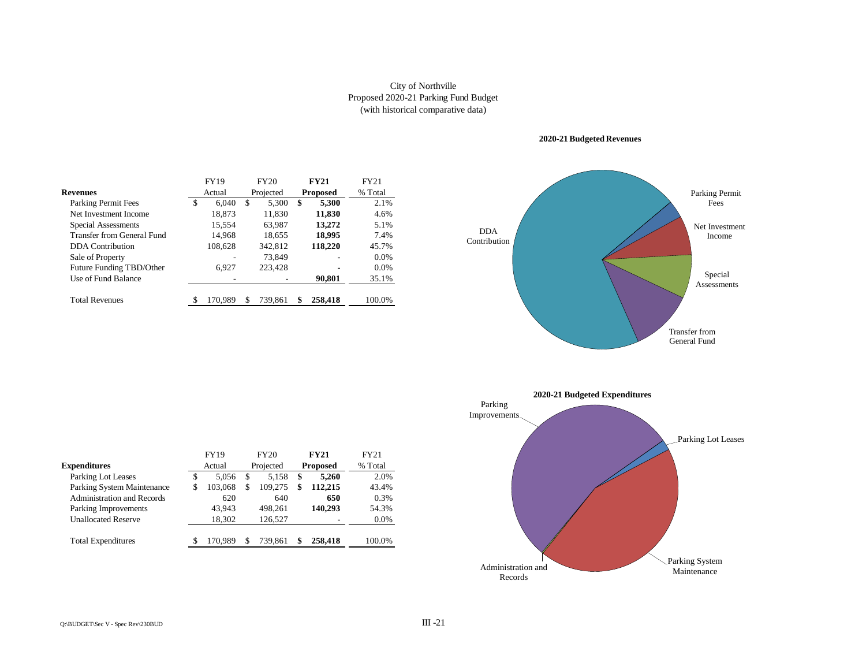#### City of Northville Proposed 2020-21 Parking Fund Budget (with historical comparative data)

|                            |    | <b>FY19</b> |    | FY20      | <b>FY21</b>     | FY21    |
|----------------------------|----|-------------|----|-----------|-----------------|---------|
| <b>Revenues</b>            |    | Actual      |    | Projected | <b>Proposed</b> | % Total |
| Parking Permit Fees        | \$ | 6.040       | S  | 5.300     | \$<br>5,300     | 2.1%    |
| Net Investment Income      |    | 18,873      |    | 11,830    | 11,830          | 4.6%    |
| Special Assessments        |    | 15,554      |    | 63,987    | 13,272          | 5.1%    |
| Transfer from General Fund |    | 14,968      |    | 18,655    | 18,995          | 7.4%    |
| DDA Contribution           |    | 108,628     |    | 342,812   | 118,220         | 45.7%   |
| Sale of Property           |    |             |    | 73,849    |                 | 0.0%    |
| Future Funding TBD/Other   |    | 6.927       |    | 223.428   |                 | 0.0%    |
| Use of Fund Balance        |    |             |    |           | 90.801          | 35.1%   |
|                            |    |             |    |           |                 |         |
| <b>Total Revenues</b>      | S  | 170.989     | \$ | 739.861   | 258,418         | 100.0%  |

**2020-21Budgeted Revenues**





|                                   | <b>FY19</b>   |     | FY20      | <b>FY21</b>     | FY21    |
|-----------------------------------|---------------|-----|-----------|-----------------|---------|
| <b>Expenditures</b>               | Actual        |     | Projected | <b>Proposed</b> | % Total |
| Parking Lot Leases                | \$<br>5.056   | \$  | 5.158     | \$<br>5.260     | 2.0%    |
| Parking System Maintenance        | \$<br>103,068 | \$  | 109,275   | \$<br>112.215   | 43.4%   |
| <b>Administration and Records</b> | 620           |     | 640       | 650             | 0.3%    |
| Parking Improvements              | 43,943        |     | 498.261   | 140.293         | 54.3%   |
| <b>Unallocated Reserve</b>        | 18.302        |     | 126.527   | ٠               | $0.0\%$ |
| <b>Total Expenditures</b>         | 170.989       | \$. | 739.861   | \$<br>258,418   | 100.0%  |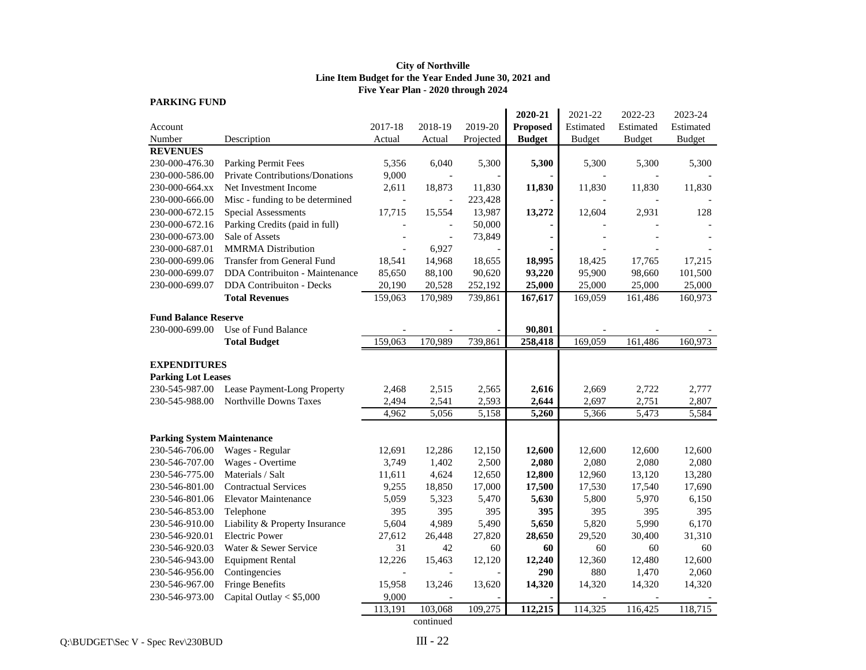#### **City of Northville Line Item Budget for the Year Ended June 30, 2021 and Five Year Plan - 2020 through 2024**

**PARKING FUND**

|                                               |                                   |                |           |           | 2020-21           | 2021-22       | 2022-23       | 2023-24       |
|-----------------------------------------------|-----------------------------------|----------------|-----------|-----------|-------------------|---------------|---------------|---------------|
| Account                                       |                                   | 2017-18        | 2018-19   | 2019-20   | <b>Proposed</b>   | Estimated     | Estimated     | Estimated     |
| Number                                        | Description                       | Actual         | Actual    | Projected | <b>Budget</b>     | <b>Budget</b> | <b>Budget</b> | <b>Budget</b> |
| <b>REVENUES</b>                               |                                   |                |           |           |                   |               |               |               |
| 230-000-476.30                                | Parking Permit Fees               | 5,356          | 6,040     | 5,300     | 5,300             | 5,300         | 5,300         | 5,300         |
| 230-000-586.00                                | Private Contributions/Donations   | 9,000          |           |           |                   |               |               |               |
| 230-000-664.xx                                | Net Investment Income             | 2,611          | 18,873    | 11,830    | 11,830            | 11,830        | 11,830        | 11,830        |
| 230-000-666.00                                | Misc - funding to be determined   | $\blacksquare$ |           | 223,428   |                   |               |               |               |
| 230-000-672.15                                | <b>Special Assessments</b>        | 17,715         | 15,554    | 13,987    | 13,272            | 12,604        | 2,931         | 128           |
| 230-000-672.16                                | Parking Credits (paid in full)    |                |           | 50,000    |                   |               |               |               |
| 230-000-673.00                                | Sale of Assets                    |                |           | 73,849    |                   |               |               |               |
| 230-000-687.01                                | <b>MMRMA</b> Distribution         | $\overline{a}$ | 6,927     |           |                   |               |               |               |
| 230-000-699.06                                | <b>Transfer from General Fund</b> | 18,541         | 14,968    | 18,655    | 18,995            | 18,425        | 17,765        | 17,215        |
| 230-000-699.07                                | DDA Contribuiton - Maintenance    | 85,650         | 88,100    | 90,620    | 93,220            | 95,900        | 98,660        | 101,500       |
| 230-000-699.07                                | <b>DDA</b> Contribuiton - Decks   | 20,190         | 20,528    | 252,192   | 25,000            | 25,000        | 25,000        | 25,000        |
|                                               | <b>Total Revenues</b>             | 159,063        | 170,989   | 739,861   | 167,617           | 169,059       | 161,486       | 160,973       |
|                                               |                                   |                |           |           |                   |               |               |               |
| <b>Fund Balance Reserve</b><br>230-000-699.00 | Use of Fund Balance               |                |           |           |                   |               |               |               |
|                                               | <b>Total Budget</b>               | 159,063        | 170,989   | 739,861   | 90,801<br>258,418 | 169,059       | 161,486       | 160,973       |
|                                               |                                   |                |           |           |                   |               |               |               |
| <b>EXPENDITURES</b>                           |                                   |                |           |           |                   |               |               |               |
| <b>Parking Lot Leases</b>                     |                                   |                |           |           |                   |               |               |               |
| 230-545-987.00                                | Lease Payment-Long Property       | 2,468          | 2,515     | 2,565     | 2,616             | 2,669         | 2,722         | 2,777         |
| 230-545-988.00                                | <b>Northville Downs Taxes</b>     | 2,494          | 2,541     | 2,593     | 2,644             | 2,697         | 2,751         | 2,807         |
|                                               |                                   | 4,962          | 5,056     | 5,158     | 5,260             | 5,366         | 5,473         | 5,584         |
|                                               |                                   |                |           |           |                   |               |               |               |
| <b>Parking System Maintenance</b>             |                                   |                |           |           |                   |               |               |               |
| 230-546-706.00                                | Wages - Regular                   | 12,691         | 12,286    | 12,150    | 12,600            | 12,600        | 12,600        | 12,600        |
| 230-546-707.00                                | Wages - Overtime                  | 3,749          | 1,402     | 2,500     | 2,080             | 2,080         | 2,080         | 2,080         |
| 230-546-775.00                                | Materials / Salt                  | 11,611         | 4,624     | 12,650    | 12,800            | 12,960        | 13,120        | 13,280        |
| 230-546-801.00                                | <b>Contractual Services</b>       | 9,255          | 18,850    | 17,000    | 17,500            | 17,530        | 17,540        | 17,690        |
| 230-546-801.06                                | <b>Elevator Maintenance</b>       | 5,059          | 5,323     | 5,470     | 5,630             | 5,800         | 5,970         | 6,150         |
| 230-546-853.00                                | Telephone                         | 395            | 395       | 395       | 395               | 395           | 395           | 395           |
| 230-546-910.00                                | Liability & Property Insurance    | 5,604          | 4,989     | 5,490     | 5,650             | 5,820         | 5,990         | 6,170         |
| 230-546-920.01                                | <b>Electric Power</b>             | 27,612         | 26,448    | 27,820    | 28,650            | 29,520        | 30,400        | 31,310        |
| 230-546-920.03                                | Water & Sewer Service             | 31             | 42        | 60        | 60                | 60            | 60            | 60            |
| 230-546-943.00                                | <b>Equipment Rental</b>           | 12,226         | 15,463    | 12,120    | 12,240            | 12,360        | 12,480        | 12,600        |
| 230-546-956.00                                | Contingencies                     |                |           |           | 290               | 880           | 1,470         | 2,060         |
| 230-546-967.00                                | Fringe Benefits                   | 15,958         | 13,246    | 13,620    | 14,320            | 14,320        | 14,320        | 14,320        |
| 230-546-973.00                                | Capital Outlay < \$5,000          | 9,000          |           |           |                   |               |               |               |
|                                               |                                   | 113,191        | 103,068   | 109,275   | 112,215           | 114,325       | 116,425       | 118,715       |
|                                               |                                   |                | continued |           |                   |               |               |               |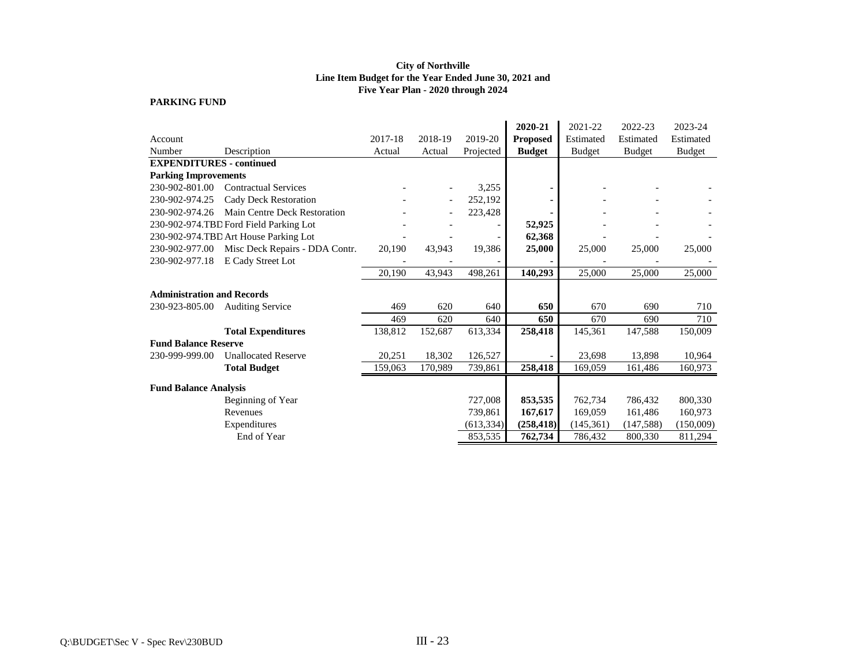#### **City of Northville Line Item Budget for the Year Ended June 30, 2021 and Five Year Plan - 2020 through 2024**

#### **PARKING FUND**

|                                   |                                        |         |                          |            | 2020-21         | 2021-22       | 2022-23       | 2023-24       |
|-----------------------------------|----------------------------------------|---------|--------------------------|------------|-----------------|---------------|---------------|---------------|
| Account                           |                                        | 2017-18 | 2018-19                  | 2019-20    | <b>Proposed</b> | Estimated     | Estimated     | Estimated     |
| Number                            | Description                            | Actual  | Actual                   | Projected  | <b>Budget</b>   | <b>Budget</b> | <b>Budget</b> | <b>Budget</b> |
| <b>EXPENDITURES</b> - continued   |                                        |         |                          |            |                 |               |               |               |
| <b>Parking Improvements</b>       |                                        |         |                          |            |                 |               |               |               |
| 230-902-801.00                    | <b>Contractual Services</b>            |         |                          | 3,255      |                 |               |               |               |
| 230-902-974.25                    | Cady Deck Restoration                  |         | $\overline{\phantom{a}}$ | 252,192    |                 |               |               |               |
| 230-902-974.26                    | Main Centre Deck Restoration           |         |                          | 223,428    |                 |               |               |               |
|                                   | 230-902-974.TBD Ford Field Parking Lot |         |                          |            | 52,925          |               |               |               |
|                                   | 230-902-974.TBD Art House Parking Lot  |         |                          |            | 62,368          |               |               |               |
| 230-902-977.00                    | Misc Deck Repairs - DDA Contr.         | 20,190  | 43,943                   | 19,386     | 25,000          | 25,000        | 25,000        | 25,000        |
| 230-902-977.18                    | E Cady Street Lot                      |         |                          |            |                 |               |               |               |
|                                   |                                        | 20,190  | 43,943                   | 498,261    | 140,293         | 25,000        | 25,000        | 25,000        |
| <b>Administration and Records</b> |                                        |         |                          |            |                 |               |               |               |
| 230-923-805.00                    | <b>Auditing Service</b>                | 469     | 620                      | 640        | 650             | 670           | 690           | 710           |
|                                   |                                        | 469     | 620                      | 640        | 650             | 670           | 690           | 710           |
|                                   | <b>Total Expenditures</b>              | 138,812 | 152,687                  | 613,334    | 258,418         | 145,361       | 147,588       | 150,009       |
| <b>Fund Balance Reserve</b>       |                                        |         |                          |            |                 |               |               |               |
| 230-999-999.00                    | <b>Unallocated Reserve</b>             | 20,251  | 18,302                   | 126,527    |                 | 23,698        | 13,898        | 10,964        |
|                                   | <b>Total Budget</b>                    | 159,063 | 170,989                  | 739,861    | 258,418         | 169,059       | 161,486       | 160,973       |
| <b>Fund Balance Analysis</b>      |                                        |         |                          |            |                 |               |               |               |
|                                   | Beginning of Year                      |         |                          | 727,008    | 853,535         | 762,734       | 786,432       | 800,330       |
|                                   | Revenues                               |         |                          | 739,861    | 167,617         | 169,059       | 161,486       | 160,973       |
|                                   | Expenditures                           |         |                          | (613, 334) | (258, 418)      | (145, 361)    | (147, 588)    | (150,009)     |
|                                   | End of Year                            |         |                          | 853,535    | 762,734         | 786,432       | 800,330       | 811,294       |